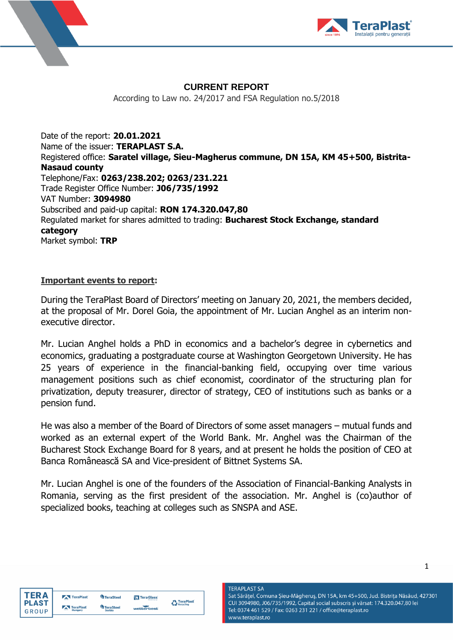



## **CURRENT REPORT**

According to Law no. 24/2017 and FSA Regulation no.5/2018

Date of the report: **20.01.2021** Name of the issuer: **TERAPLAST S.A.** Registered office: **Saratel village, Sieu-Magherus commune, DN 15A, KM 45+500, Bistrita-Nasaud county** Telephone/Fax: **0263/238.202; 0263/231.221** Trade Register Office Number: **J06/735/1992** VAT Number: **3094980** Subscribed and paid-up capital: **RON 174.320.047,80** Regulated market for shares admitted to trading: **Bucharest Stock Exchange, standard category** Market symbol: **TRP**

## **Important events to report:**

During the TeraPlast Board of Directors' meeting on January 20, 2021, the members decided, at the proposal of Mr. Dorel Goia, the appointment of Mr. Lucian Anghel as an interim nonexecutive director.

Mr. Lucian Anghel holds a PhD in economics and a bachelor's degree in cybernetics and economics, graduating a postgraduate course at Washington Georgetown University. He has 25 years of experience in the financial-banking field, occupying over time various management positions such as chief economist, coordinator of the structuring plan for privatization, deputy treasurer, director of strategy, CEO of institutions such as banks or a pension fund.

He was also a member of the Board of Directors of some asset managers – mutual funds and worked as an external expert of the World Bank. Mr. Anghel was the Chairman of the Bucharest Stock Exchange Board for 8 years, and at present he holds the position of CEO at Banca Românească SA and Vice-president of Bittnet Systems SA.

Mr. Lucian Anghel is one of the founders of the Association of Financial-Banking Analysts in Romania, serving as the first president of the association. Mr. Anghel is (co)author of specialized books, teaching at colleges such as SNSPA and ASE.



| <b>TeraPlast</b>     | <b>TeraSteel</b>           | TeraGlass  | <b>C</b> TeraPlast |
|----------------------|----------------------------|------------|--------------------|
| TeraPlast<br>Hungary | <b>TeraSteel</b><br>Corbin | wetterbest |                    |

**TERAPLAST SA** Sat Sărățel, Comuna Șieu-Măgheruș, DN 15A, km 45+500, Jud. Bistrița Năsăud, 427301 CUI 3094980, J06/735/1992, Capital social subscris și vărsat: 174.320.047,80 lei Tel: 0374 461 529 / Fax: 0263 231 221 / office@teraplast.ro www.teraplast.ro